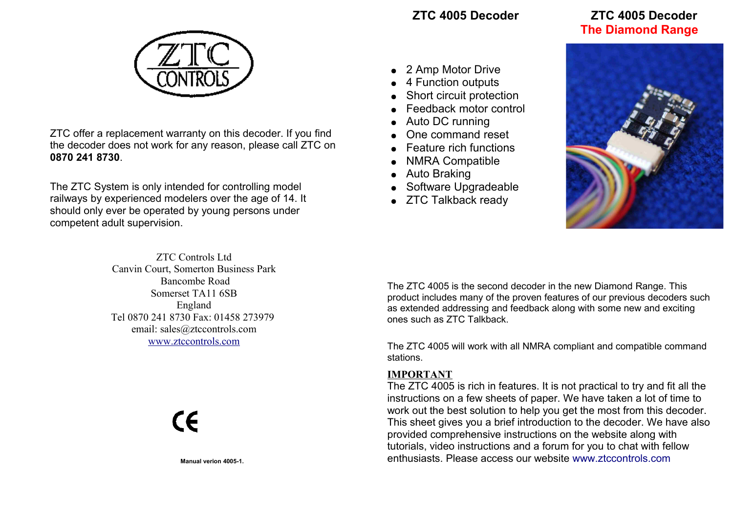# **ZTC 4005 Decoder ZTC 4005 Decoder The Diamond Range**



ZTC offer a replacement warranty on this decoder. If you find the decoder does not work for any reason, please call ZTC on **0870 241 8730**.

The ZTC System is only intended for controlling model railways by experienced modelers over the age of 14. It should only ever be operated by young persons under competent adult supervision.

> ZTC Controls Ltd Canvin Court, Somerton Business Park Bancombe Road Somerset TA11 6SB England Tel 0870 241 8730 Fax: 01458 273979 email: sales@ztccontrols.com [www.ztccontrols.com](webiste: http://www.ztccontrols.com)

> > $C\epsilon$

**Manual verion 4005-1.**

- 2 Amp Motor Drive
- 4 Function outputs
- Short circuit protection
- **Feedback motor control**
- Auto DC running
- One command reset
- Feature rich functions
- **NMRA Compatible**
- Auto Braking
- Software Upgradeable
- ZTC Talkback ready



The ZTC 4005 is the second decoder in the new Diamond Range. This product includes many of the proven features of our previous decoders such as extended addressing and feedback along with some new and exciting ones such as ZTC Talkback.

The ZTC 4005 will work with all NMRA compliant and compatible command stations.

## **IMPORTANT**

[The ZTC 4005 is rich in features. It is not practical to try and fit all the](http://www.ztccontrols.com/ZTC4007) instructions on a few sheets of paper. We have taken a lot of time to work out the best solution to help you get the most from this decoder. [This sheet gives you a brief introduction to the decoder. We have also](http://www.ztccontrols.com/ZTC4007) provided comprehensive instructions on the website along with tutorials, video instructions and a forum for you to chat with fellow [enthusiasts. Please access our website](http://www.ztccontrols.com/ZTC4007) [www.ztccontrols.com](http://www.ztccontrols.com/ztc40)